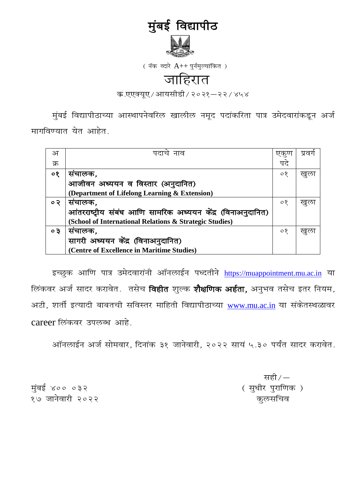# मुंबई विद्यापीठ



(नॅक व्दारे  $A++$  पुर्नमुल्यांकित)

# जाहिरात

क.एएक्यूए / आयसीडी / २०२१-२२ / ४५४

मुंबई विद्यापीठाच्या आस्थापनेवरिल खालील नमूद पदांकरिता पात्र उमेदवारांकडून अर्ज मागविण्यात येत आहेत.

| अ         | नाव<br>पटा                                                  | 1⊄ी     | प्रवग |
|-----------|-------------------------------------------------------------|---------|-------|
| क्र       |                                                             | पट      |       |
| ०१        | सचालक,                                                      | $\circ$ | खुल   |
|           | आजीवन अध्ययन व विस्तार (अनुदानित)                           |         |       |
|           | (Department of Lifelong Learning & Extension)               |         |       |
| $\circ$ २ | सचालक,                                                      | $\circ$ | खुल   |
|           | आंतरराष्ट्रीय संबंध आणि सामरिक अध्ययन केंद्र (विनाअनुदानित) |         |       |
|           | (School of International Relations & Strategic Studies)     |         |       |
| $\circ$ 3 | संचालक,                                                     | $\circ$ | खुला  |
|           | सागरी अध्ययन केंद्र (विनाअनुदानित)                          |         |       |
|           | (Centre of Excellence in Maritime Studies)                  |         |       |

इच्छुक आणि पात्र उमेदवारांनी ऑनलाईन पध्दतीने [https://muappointment.mu.ac.in](https://muappointment.mu.ac.in/) या लिंकवर अर्ज सादर करावेत. तसेच **विहीत** शुल्क **शैक्षणिक अर्हता,** अनुभव तसेच इतर नियम, अटी, शर्ती इत्यादी बाबतची सविस्तर माहिती विद्यापीठाच्या [www.mu.ac.in](http://www.mu.ac.in/) या संकेतस्थळावर career लिंकवर उपलब्ध आहे.

आॅनलाईन अर्ज सोमवार, दिनांक ३१ जानेवारी, २०२२ सायं ५.३० पर्यंत सादर करावेत.

सही $/$ —

मुंबई ४०० ०३२ <sup>,</sup> सामान ४०० था हो। सामान ४०० था पुराणिक ) १७ जानेवारी २०२२ व्यापाटी करता होता. या व्यापाटी करता है के साथ पहले साथि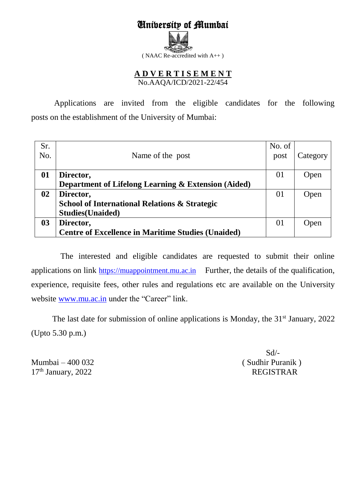# University of Mumbai

( NAAC Re-accredited with A++ )

# **A D V E R T I S E M E N T**  No.AAQA/ICD/2021-22/454

Applications are invited from the eligible candidates for the following posts on the establishment of the University of Mumbai:

| Sr. |                                                           | No. of |          |
|-----|-----------------------------------------------------------|--------|----------|
| No. | Name of the post                                          | post   | Category |
|     |                                                           |        |          |
| 01  | Director,                                                 | 01     | Open     |
|     | Department of Lifelong Learning & Extension (Aided)       |        |          |
| 02  | Director,                                                 | 01     | Open     |
|     | <b>School of International Relations &amp; Strategic</b>  |        |          |
|     | <b>Studies</b> (Unaided)                                  |        |          |
| 03  | Director,                                                 | 01     | Open     |
|     | <b>Centre of Excellence in Maritime Studies (Unaided)</b> |        |          |

 The interested and eligible candidates are requested to submit their online applications on link [https://muappointment.mu.ac.in](https://muappointment.mu.ac.in/) Further, the details of the qualification, experience, requisite fees, other rules and regulations etc are available on the University website [www.mu.ac.in](http://www.mu.ac.in/) under the "Career" link.

The last date for submission of online applications is Monday, the  $31<sup>st</sup>$  January, 2022 (Upto 5.30 p.m.)

Mumbai  $-400$  032 17<sup>th</sup> January, 2022 REGISTRAR

Sd/-<br>(Sudhir Puranik)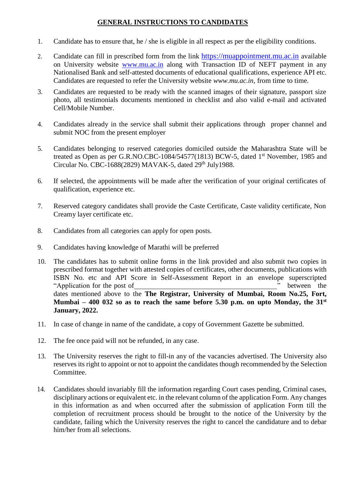# **GENERAL INSTRUCTIONS TO CANDIDATES**

- 1. Candidate has to ensure that, he / she is eligible in all respect as per the eligibility conditions.
- 2. Candidate can fill in prescribed form from the link [https://muappointment.mu.ac.in](https://muappointment.mu.ac.in/) available on University website [www.mu.ac.in](http://www.mu.ac.in/) along with Transaction ID of NEFT payment in any Nationalised Bank and self-attested documents of educational qualifications, experience API etc. Candidates are requested to refer the University website *[www.mu.ac.in,](http://www.mu.ac.in/)* from time to time.
- 3. Candidates are requested to be ready with the scanned images of their signature, passport size photo, all testimonials documents mentioned in checklist and also valid e-mail and activated Cell/Mobile Number.
- 4. Candidates already in the service shall submit their applications through proper channel and submit NOC from the present employer
- 5. Candidates belonging to reserved categories domiciled outside the Maharashtra State will be treated as Open as per G.R.NO.CBC-1084/54577(1813) BCW-5, dated 1<sup>st</sup> November, 1985 and Circular No. CBC-1688(2829) MAVAK-5, dated  $29<sup>th</sup>$  July1988.
- 6. If selected, the appointments will be made after the verification of your original certificates of qualification, experience etc.
- 7. Reserved category candidates shall provide the Caste Certificate, Caste validity certificate, Non Creamy layer certificate etc.
- 8. Candidates from all categories can apply for open posts.
- 9. Candidates having knowledge of Marathi will be preferred
- 10. The candidates has to submit online forms in the link provided and also submit two copies in prescribed format together with attested copies of certificates, other documents, publications with ISBN No. etc and API Score in Self-Assessment Report in an envelope superscripted "Application for the post of " between the dates mentioned above to the **The Registrar, University of Mumbai, Room No.25, Fort, Mumbai – 400 032 so as to reach the same before 5.30 p.m. on upto Monday, the 31st January, 2022.**
- 11. In case of change in name of the candidate, a copy of Government Gazette be submitted.
- 12. The fee once paid will not be refunded, in any case.
- 13. The University reserves the right to fill-in any of the vacancies advertised. The University also reserves its right to appoint or not to appoint the candidates though recommended by the Selection Committee.
- 14. Candidates should invariably fill the information regarding Court cases pending, Criminal cases, disciplinary actions or equivalent etc. in the relevant column of the application Form. Any changes in this information as and when occurred after the submission of application Form till the completion of recruitment process should be brought to the notice of the University by the candidate, failing which the University reserves the right to cancel the candidature and to debar him/her from all selections.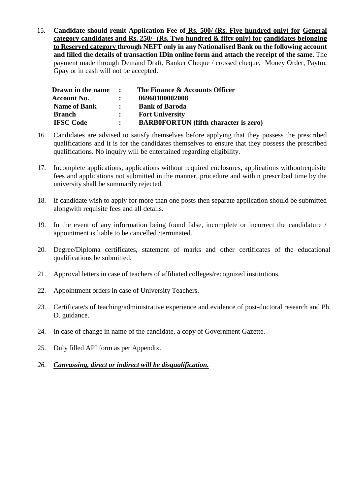15. **Candidate should remit Application Fee of Rs. 500/-(Rs. Five hundred only) for General category candidates and Rs. 250/- (Rs. Two hundred & fifty only) for candidates belonging to Reserved category through NEFT only in any Nationalised Bank on the following account and filled the details of transaction IDin online form and attach the receipt of the same.** The payment made through Demand Draft, Banker Cheque / crossed cheque, Money Order, Paytm, Gpay or in cash will not be accepted.

| Drawn in the name   | $\sim$ $\sim$ $\sim$ | The Finance & Accounts Officer               |
|---------------------|----------------------|----------------------------------------------|
| <b>Account No.</b>  | $\ddot{\cdot}$       | 06960100002008                               |
| <b>Name of Bank</b> | $\mathbf{L}$         | <b>Bank of Baroda</b>                        |
| <b>Branch</b>       | $\ddot{\cdot}$       | <b>Fort University</b>                       |
| <b>IFSC Code</b>    | $\ddot{\cdot}$       | <b>BARB0FORTUN</b> (fifth character is zero) |

- 16. Candidates are advised to satisfy themselves before applying that they possess the prescribed qualifications and it is for the candidates themselves to ensure that they possess the prescribed qualifications. No inquiry will be entertained regarding eligibility.
- 17. Incomplete applications, applications without required enclosures, applications withoutrequisite fees and applications not submitted in the manner, procedure and within prescribed time by the university shall be summarily rejected.
- 18. If candidate wish to apply for more than one posts then separate application should be submitted alongwith requisite fees and all details.
- 19. In the event of any information being found false, incomplete or incorrect the candidature / appointment is liable to be cancelled /terminated.
- 20. Degree/Diploma certificates, statement of marks and other certificates of the educational qualifications be submitted.
- 21. Approval letters in case of teachers of affiliated colleges/recognized institutions.
- 22. Appointment orders in case of University Teachers.
- 23. Certificate/s of teaching/administrative experience and evidence of post-doctoral research and Ph. D. guidance.
- 24. In case of change in name of the candidate, a copy of Government Gazette.
- 25. Duly filled API form as per Appendix.
- *26. Canvassing, direct or indirect will be disqualification.*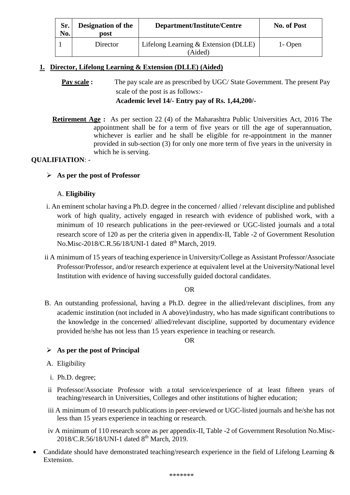| Sr.<br>No. | <b>Designation of the</b><br>post | Department/Institute/Centre                     | No. of Post |
|------------|-----------------------------------|-------------------------------------------------|-------------|
|            | Director                          | Lifelong Learning & Extension (DLLE)<br>(Aided) | 1- Open     |

# **1. Director, Lifelong Learning & Extension (DLLE) (Aided)**

**Pay scale :** The pay scale are as prescribed by UGC/ State Government. The present Pay scale of the post is as follows:- **Academic level 14/- Entry pay of Rs. 1,44,200/-**

**Retirement Age :** As per section 22 (4) of the Maharashtra Public Universities Act, 2016 The appointment shall be for a term of five years or till the age of superannuation, whichever is earlier and he shall be eligible for re-appointment in the manner provided in sub-section (3) for only one more term of five years in the university in which he is serving.

# **QUALIFIATION**: -

**As per the post of Professor** 

# A. **Eligibility**

- i. An eminent scholar having a Ph.D. degree in the concerned / allied / relevant discipline and published work of high quality, actively engaged in research with evidence of published work, with a minimum of 10 research publications in the peer-reviewed or UGC-listed journals and a total research score of 120 as per the criteria given in appendix-II, Table -2 of Government Resolution No.Misc-2018/C.R.56/18/UNI-1 dated 8<sup>th</sup> March, 2019.
- ii A minimum of 15 years of teaching experience in University/College as Assistant Professor/Associate Professor/Professor, and/or research experience at equivalent level at the University/National level Institution with evidence of having successfully guided doctoral candidates.

#### OR

B. An outstanding professional, having a Ph.D. degree in the allied/relevant disciplines, from any academic institution (not included in A above)/industry, who has made significant contributions to the knowledge in the concerned/ allied/relevant discipline, supported by documentary evidence provided he/she has not less than 15 years experience in teaching or research.

OR

# **As per the post of Principal**

- A. Eligibility
- i. Ph.D. degree;
- ii Professor/Associate Professor with a total service/experience of at least fifteen years of teaching/research in Universities, Colleges and other institutions of higher education;
- iii A minimum of 10 research publications in peer-reviewed or UGC-listed journals and he/she has not less than 15 years experience in teaching or research.
- iv A minimum of 110 research score as per appendix-II, Table -2 of Government Resolution No.Misc-2018/C.R.56/18/UNI-1 dated 8<sup>th</sup> March, 2019.
- Candidate should have demonstrated teaching/research experience in the field of Lifelong Learning  $\&$ Extension.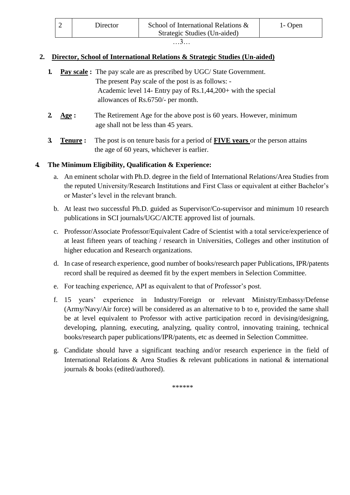| Director | School of International Relations & | 1- Open |
|----------|-------------------------------------|---------|
|          | Strategic Studies (Un-aided)        |         |

# **2. Director, School of International Relations & Strategic Studies (Un-aided)**

| $\mathbf{L}$ |                       | <b>Pay scale:</b> The pay scale are as prescribed by UGC/State Government.                                                   |
|--------------|-----------------------|------------------------------------------------------------------------------------------------------------------------------|
|              |                       | The present Pay scale of the post is as follows: -<br>Academic level 14- Entry pay of $\text{Rs}.1,44,200+$ with the special |
|              |                       | allowances of Rs.6750/- per month.                                                                                           |
|              | Age :                 | The Retirement Age for the above post is 60 years. However, minimum<br>age shall not be less than 45 years.                  |
|              | $\mathbf{T}$ anııra • | The post is on tenure has is for a period of <b>FIVE</b> vears or the person attains                                         |

**3. Tenure :** The post is on tenure basis for a period of **FIVE years** or the person attains the age of 60 years, whichever is earlier.

# **4. The Minimum Eligibility, Qualification & Experience:**

- a. An eminent scholar with Ph.D. degree in the field of International Relations/Area Studies from the reputed University/Research Institutions and First Class or equivalent at either Bachelor's or Master's level in the relevant branch.
- b. At least two successful Ph.D. guided as Supervisor/Co-supervisor and minimum 10 research publications in SCI journals/UGC/AICTE approved list of journals.
- c. Professor/Associate Professor/Equivalent Cadre of Scientist with a total service/experience of at least fifteen years of teaching / research in Universities, Colleges and other institution of higher education and Research organizations.
- d. In case of research experience, good number of books/research paper Publications, IPR/patents record shall be required as deemed fit by the expert members in Selection Committee.
- e. For teaching experience, API as equivalent to that of Professor's post.
- f. 15 years' experience in Industry/Foreign or relevant Ministry/Embassy/Defense (Army/Navy/Air force) will be considered as an alternative to b to e, provided the same shall be at level equivalent to Professor with active participation record in devising/designing, developing, planning, executing, analyzing, quality control, innovating training, technical books/research paper publications/IPR/patents, etc as deemed in Selection Committee.
- g. Candidate should have a significant teaching and/or research experience in the field of International Relations & Area Studies & relevant publications in national & international journals & books (edited/authored).

\*\*\*\*\*\*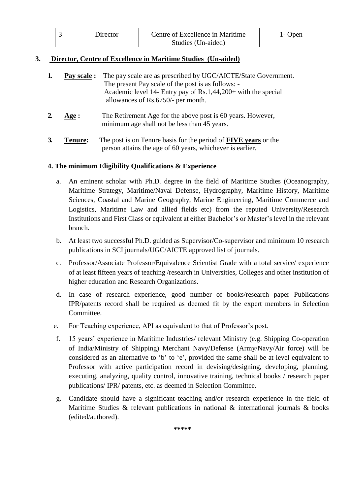| Director | Centre of Excellence in Maritime | 1 - Open |
|----------|----------------------------------|----------|
|          | Studies (Un-aided)               |          |

# **3. Director, Centre of Excellence in Maritime Studies (Un-aided)**

|    | Pay scale : | The pay scale are as prescribed by UGC/AICTE/State Government.<br>The present Pay scale of the post is as follows: -<br>Academic level 14- Entry pay of Rs.1,44,200+ with the special<br>allowances of Rs.6750/- per month. |
|----|-------------|-----------------------------------------------------------------------------------------------------------------------------------------------------------------------------------------------------------------------------|
|    | Age :       | The Retirement Age for the above post is 60 years. However,<br>minimum age shall not be less than 45 years.                                                                                                                 |
| 3. | Tenure:     | The post is on Tenure basis for the period of <b>FIVE</b> years or the<br>person attains the age of 60 years, whichever is earlier.                                                                                         |

#### **4. The minimum Eligibility Qualifications & Experience**

- a. An eminent scholar with Ph.D. degree in the field of Maritime Studies (Oceanography, Maritime Strategy, Maritime/Naval Defense, Hydrography, Maritime History, Maritime Sciences, Coastal and Marine Geography, Marine Engineering, Maritime Commerce and Logistics, Maritime Law and allied fields etc) from the reputed University/Research Institutions and First Class or equivalent at either Bachelor's or Master's level in the relevant branch.
- b. At least two successful Ph.D. guided as Supervisor/Co-supervisor and minimum 10 research publications in SCI journals/UGC/AICTE approved list of journals.
- c. Professor/Associate Professor/Equivalence Scientist Grade with a total service/ experience of at least fifteen years of teaching /research in Universities, Colleges and other institution of higher education and Research Organizations.
- d. In case of research experience, good number of books/research paper Publications IPR/patents record shall be required as deemed fit by the expert members in Selection Committee.
- e. For Teaching experience, API as equivalent to that of Professor's post.
- f. 15 years' experience in Maritime Industries/ relevant Ministry (e.g. Shipping Co-operation of India/Ministry of Shipping) Merchant Navy/Defense (Army/Navy/Air force) will be considered as an alternative to 'b' to 'e', provided the same shall be at level equivalent to Professor with active participation record in devising/designing, developing, planning, executing, analyzing, quality control, innovative training, technical books / research paper publications/ IPR/ patents, etc. as deemed in Selection Committee.
- g. Candidate should have a significant teaching and/or research experience in the field of Maritime Studies  $\&$  relevant publications in national  $\&$  international journals  $\&$  books (edited/authored).

**\*\*\*\*\***